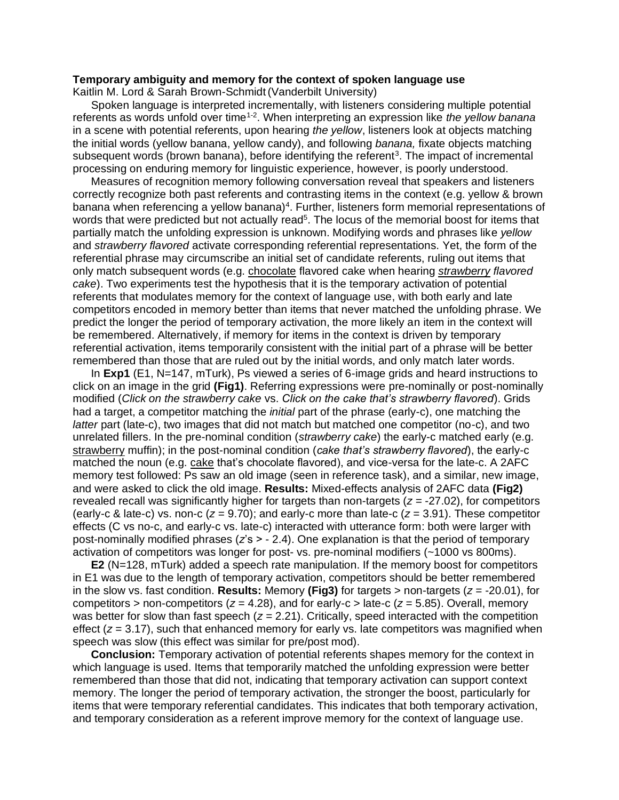## **Temporary ambiguity and memory for the context of spoken language use**

Kaitlin M. Lord & Sarah Brown-Schmidt(Vanderbilt University)

 Spoken language is interpreted incrementally, with listeners considering multiple potential referents as words unfold over time<sup>1-2</sup>. When interpreting an expression like *the yellow banana* in a scene with potential referents, upon hearing *the yellow*, listeners look at objects matching the initial words (yellow banana, yellow candy), and following *banana,* fixate objects matching subsequent words (brown banana), before identifying the referent<sup>3</sup>. The impact of incremental processing on enduring memory for linguistic experience, however, is poorly understood.

Measures of recognition memory following conversation reveal that speakers and listeners correctly recognize both past referents and contrasting items in the context (e.g. yellow & brown banana when referencing a yellow banana)<sup>4</sup>. Further, listeners form memorial representations of words that were predicted but not actually read<sup>5</sup>. The locus of the memorial boost for items that partially match the unfolding expression is unknown. Modifying words and phrases like *yellow* and *strawberry flavored* activate corresponding referential representations. Yet, the form of the referential phrase may circumscribe an initial set of candidate referents, ruling out items that only match subsequent words (e.g. chocolate flavored cake when hearing *strawberry flavored cake*). Two experiments test the hypothesis that it is the temporary activation of potential referents that modulates memory for the context of language use, with both early and late competitors encoded in memory better than items that never matched the unfolding phrase. We predict the longer the period of temporary activation, the more likely an item in the context will be remembered. Alternatively, if memory for items in the context is driven by temporary referential activation, items temporarily consistent with the initial part of a phrase will be better remembered than those that are ruled out by the initial words, and only match later words.

In **Exp1** (E1, N=147, mTurk), Ps viewed a series of 6-image grids and heard instructions to click on an image in the grid **(Fig1)**. Referring expressions were pre-nominally or post-nominally modified (*Click on the strawberry cake* vs. *Click on the cake that's strawberry flavored*). Grids had a target, a competitor matching the *initial* part of the phrase (early-c), one matching the *latter* part (late-c), two images that did not match but matched one competitor (no-c), and two unrelated fillers. In the pre-nominal condition (*strawberry cake*) the early-c matched early (e.g. strawberry muffin); in the post-nominal condition (*cake that's strawberry flavored*), the early-c matched the noun (e.g. cake that's chocolate flavored), and vice-versa for the late-c. A 2AFC memory test followed: Ps saw an old image (seen in reference task), and a similar, new image, and were asked to click the old image. **Results:** Mixed-effects analysis of 2AFC data **(Fig2)**  revealed recall was significantly higher for targets than non-targets (*z =* -27.02), for competitors (early-c & late-c) vs. non-c (*z* = 9.70); and early-c more than late-c (*z* = 3.91). These competitor effects (C vs no-c, and early-c vs. late-c) interacted with utterance form: both were larger with post-nominally modified phrases (*z*'s > - 2.4). One explanation is that the period of temporary activation of competitors was longer for post- vs. pre-nominal modifiers (~1000 vs 800ms).

**E2** (N=128, mTurk) added a speech rate manipulation. If the memory boost for competitors in E1 was due to the length of temporary activation, competitors should be better remembered in the slow vs. fast condition. **Results:** Memory **(Fig3)** for targets > non-targets (*z* = -20.01), for competitors > non-competitors (*z* = 4.28), and for early-c > late-c (*z* = 5.85). Overall, memory was better for slow than fast speech ( $z = 2.21$ ). Critically, speed interacted with the competition effect  $(z = 3.17)$ , such that enhanced memory for early vs. late competitors was magnified when speech was slow (this effect was similar for pre/post mod).

**Conclusion:** Temporary activation of potential referents shapes memory for the context in which language is used. Items that temporarily matched the unfolding expression were better remembered than those that did not, indicating that temporary activation can support context memory. The longer the period of temporary activation, the stronger the boost, particularly for items that were temporary referential candidates. This indicates that both temporary activation, and temporary consideration as a referent improve memory for the context of language use.